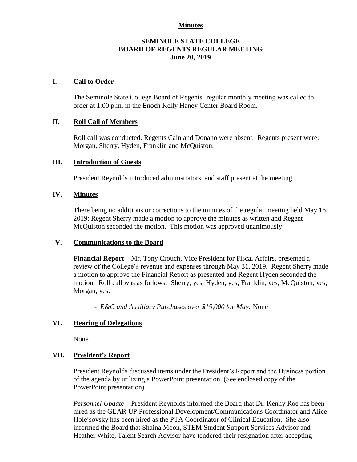#### **Minutes**

#### **SEMINOLE STATE COLLEGE BOARD OF REGENTS REGULAR MEETING June 20, 2019**

## **I. Call to Order**

The Seminole State College Board of Regents' regular monthly meeting was called to order at 1:00 p.m. in the Enoch Kelly Haney Center Board Room.

## **II. Roll Call of Members**

Roll call was conducted. Regents Cain and Donaho were absent. Regents present were: Morgan, Sherry, Hyden, Franklin and McQuiston.

### **III. Introduction of Guests**

President Reynolds introduced administrators, and staff present at the meeting.

## **IV. Minutes**

There being no additions or corrections to the minutes of the regular meeting held May 16, 2019; Regent Sherry made a motion to approve the minutes as written and Regent McQuiston seconded the motion. This motion was approved unanimously.

## **V. Communications to the Board**

**Financial Report** – Mr. Tony Crouch, Vice President for Fiscal Affairs, presented a review of the College's revenue and expenses through May 31, 2019. Regent Sherry made a motion to approve the Financial Report as presented and Regent Hyden seconded the motion. Roll call was as follows: Sherry, yes; Hyden, yes; Franklin, yes; McQuiston, yes; Morgan, yes.

*- E&G and Auxiliary Purchases over \$15,000 for May:* None

### **VI. Hearing of Delegations**

None

### **VII. President's Report**

President Reynolds discussed items under the President's Report and the Business portion of the agenda by utilizing a PowerPoint presentation. (See enclosed copy of the PowerPoint presentation)

*Personnel Update* – President Reynolds informed the Board that Dr. Kenny Roe has been hired as the GEAR UP Professional Development/Communications Coordinator and Alice Holejsovsky has been hired as the PTA Coordinator of Clinical Education. She also informed the Board that Shaina Moon, STEM Student Support Services Advisor and Heather White, Talent Search Advisor have tendered their resignation after accepting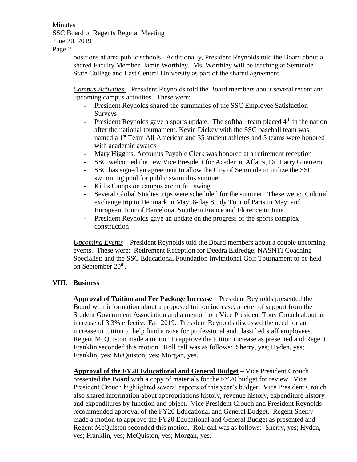**Minutes** SSC Board of Regents Regular Meeting June 20, 2019 Page 2

> positions at area public schools. Additionally, President Reynolds told the Board about a shared Faculty Member, Jamie Worthley. Ms. Worthley will be teaching at Seminole State College and East Central University as part of the shared agreement.

> *Campus Activities* – President Reynolds told the Board members about several recent and upcoming campus activities. These were:

- President Reynolds shared the summaries of the SSC Employee Satisfaction Surveys
- President Reynolds gave a sports update. The softball team placed  $4<sup>th</sup>$  in the nation after the national tournament, Kevin Dickey with the SSC baseball team was named a 1<sup>st</sup> Team All American and 35 student athletes and 5 teams were honored with academic awards
- Mary Higgins, Accounts Payable Clerk was honored at a retirement reception
- SSC welcomed the new Vice President for Academic Affairs, Dr. Larry Guerrero
- SSC has signed an agreement to allow the City of Seminole to utilize the SSC swimming pool for public swim this summer
- Kid's Camps on campus are in full swing
- Several Global Studies trips were scheduled for the summer. These were: Cultural exchange trip to Denmark in May; 8-day Study Tour of Paris in May; and European Tour of Barcelona, Southern France and Florence in June
- President Reynolds gave an update on the progress of the sports complex construction

*Upcoming Events* – President Reynolds told the Board members about a couple upcoming events. These were: Retirement Reception for Deedra Eldredge, NASNTI Coaching Specialist; and the SSC Educational Foundation Invitational Golf Tournament to be held on September 20<sup>th</sup>.

# **VIII. Business**

**Approval of Tuition and Fee Package Increase** – President Reynolds presented the Board with information about a proposed tuition increase, a letter of support from the Student Government Association and a memo from Vice President Tony Crouch about an increase of 3.3% effective Fall 2019. President Reynolds discussed the need for an increase in tuition to help fund a raise for professional and classified staff employees. Regent McQuiston made a motion to approve the tuition increase as presented and Regent Franklin seconded this motion. Roll call was as follows: Sherry, yes; Hyden, yes; Franklin, yes; McQuiston, yes; Morgan, yes.

**Approval of the FY20 Educational and General Budget** – Vice President Crouch presented the Board with a copy of materials for the FY20 budget for review. Vice President Crouch highlighted several aspects of this year's budget. Vice President Crouch also shared information about appropriations history, revenue history, expenditure history and expenditures by function and object. Vice President Crouch and President Reynolds recommended approval of the FY20 Educational and General Budget. Regent Sherry made a motion to approve the FY20 Educational and General Budget as presented and Regent McQuiston seconded this motion. Roll call was as follows: Sherry, yes; Hyden, yes; Franklin, yes; McQuiston, yes; Morgan, yes.